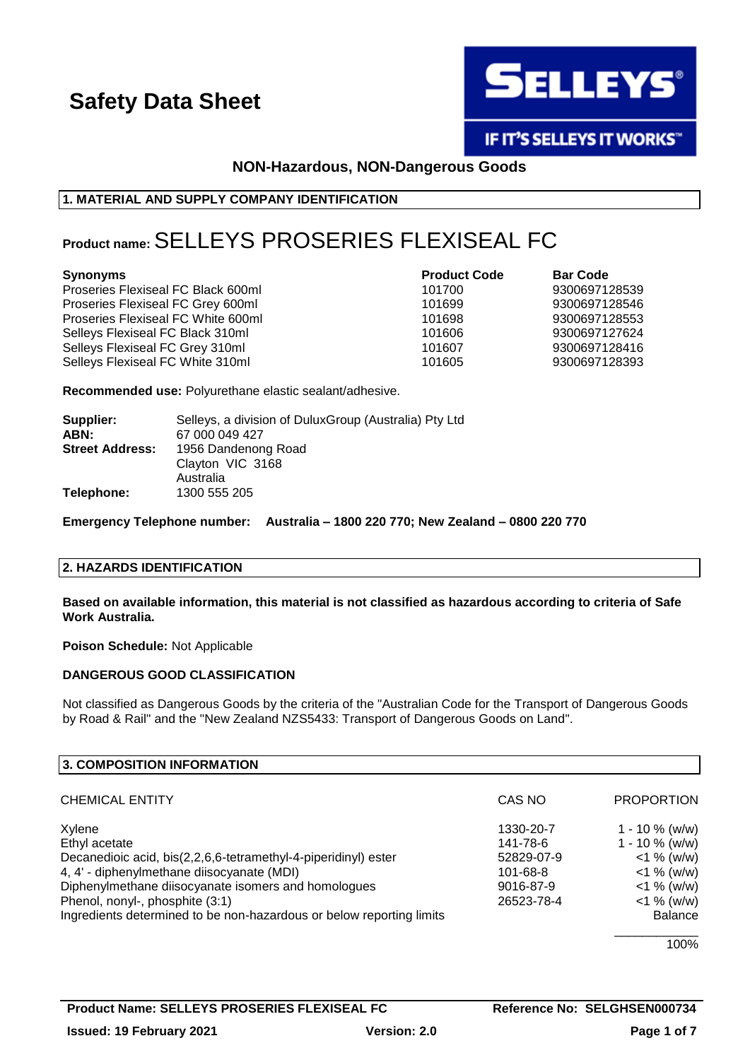

IF IT'S SELLEYS IT WORKS"

## **NON-Hazardous, NON-Dangerous Goods**

### **1. MATERIAL AND SUPPLY COMPANY IDENTIFICATION**

## **Product name:**SELLEYS PROSERIES FLEXISEAL FC

#### **Synonyms Product Code Bar Code**

Proseries Flexiseal FC Black 600ml 101700 9300697128539 Proseries Flexiseal FC Grey 600ml 101699 101699 9300697128546 Proseries Flexiseal FC White 600ml 101698 101698 9300697128553 Selleys Flexiseal FC Black 310ml 101606 101606 9300697127624 Selleys Flexiseal FC Grey 310ml 101607 101607 9300697128416 Selleys Flexiseal FC White 310ml 101605 101605 9300697128393

**Recommended use:** Polyurethane elastic sealant/adhesive.

| Supplier:<br>ABN:      | Selleys, a division of DuluxGroup (Australia) Pty Ltd<br>67 000 049 427 |
|------------------------|-------------------------------------------------------------------------|
| <b>Street Address:</b> | 1956 Dandenong Road<br>Clayton VIC 3168<br>Australia                    |
| Telephone:             | 1300 555 205                                                            |

**Emergency Telephone number: Australia – 1800 220 770; New Zealand – 0800 220 770**

### **2. HAZARDS IDENTIFICATION**

**Based on available information, this material is not classified as hazardous according to criteria of Safe Work Australia.**

**Poison Schedule:** Not Applicable

### **DANGEROUS GOOD CLASSIFICATION**

Not classified as Dangerous Goods by the criteria of the "Australian Code for the Transport of Dangerous Goods by Road & Rail" and the "New Zealand NZS5433: Transport of Dangerous Goods on Land".

| 3. COMPOSITION INFORMATION                                           |            |                   |
|----------------------------------------------------------------------|------------|-------------------|
| <b>CHEMICAL ENTITY</b>                                               | CAS NO     | <b>PROPORTION</b> |
| Xylene                                                               | 1330-20-7  | 1 - 10 $%$ (w/w)  |
| Ethyl acetate                                                        | 141-78-6   | $1 - 10 \%$ (w/w) |
| Decanedioic acid, bis(2,2,6,6-tetramethyl-4-piperidinyl) ester       | 52829-07-9 | $<$ 1 % (w/w)     |
| 4, 4' - diphenylmethane diisocyanate (MDI)                           | 101-68-8   | $<$ 1 % (w/w)     |
| Diphenylmethane diisocyanate isomers and homologues                  | 9016-87-9  | $<$ 1 % (w/w)     |
| Phenol, nonyl-, phosphite (3:1)                                      | 26523-78-4 | $<$ 1 % (w/w)     |
| Ingredients determined to be non-hazardous or below reporting limits |            | <b>Balance</b>    |
|                                                                      |            | 100%              |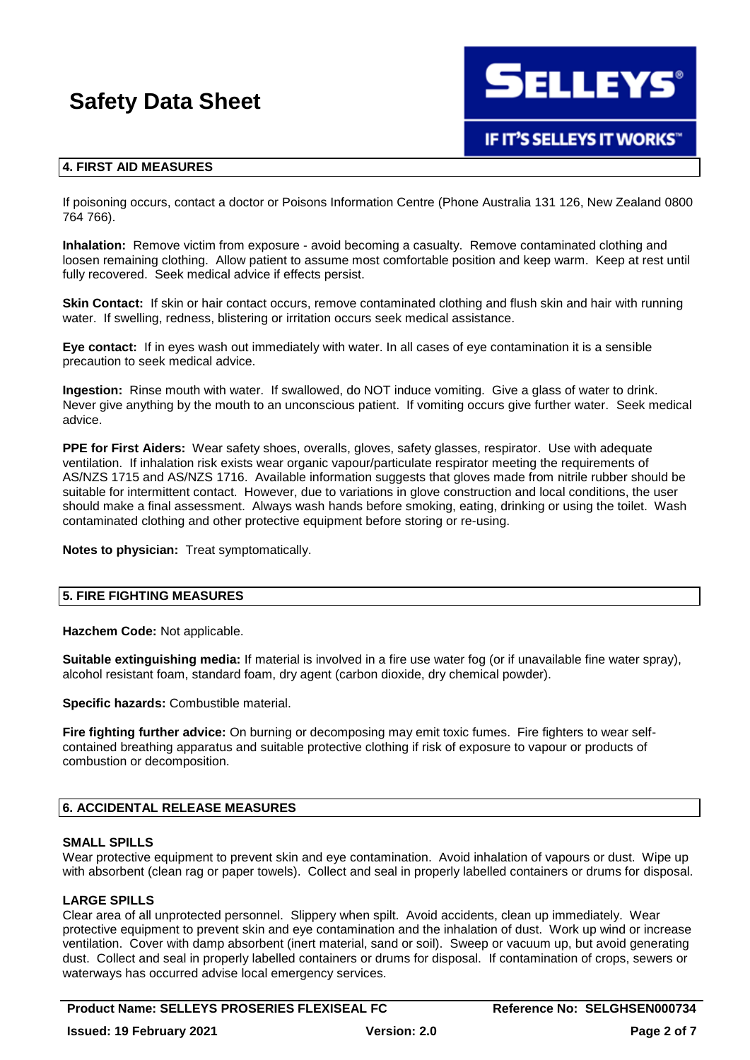**SELLEYS®** 

## **IF IT'S SELLEYS IT WORKS"**

## **4. FIRST AID MEASURES**

If poisoning occurs, contact a doctor or Poisons Information Centre (Phone Australia 131 126, New Zealand 0800 764 766).

**Inhalation:** Remove victim from exposure - avoid becoming a casualty. Remove contaminated clothing and loosen remaining clothing. Allow patient to assume most comfortable position and keep warm. Keep at rest until fully recovered. Seek medical advice if effects persist.

**Skin Contact:** If skin or hair contact occurs, remove contaminated clothing and flush skin and hair with running water. If swelling, redness, blistering or irritation occurs seek medical assistance.

**Eye contact:** If in eyes wash out immediately with water. In all cases of eye contamination it is a sensible precaution to seek medical advice.

**Ingestion:** Rinse mouth with water. If swallowed, do NOT induce vomiting. Give a glass of water to drink. Never give anything by the mouth to an unconscious patient. If vomiting occurs give further water. Seek medical advice.

**PPE for First Aiders:** Wear safety shoes, overalls, gloves, safety glasses, respirator. Use with adequate ventilation. If inhalation risk exists wear organic vapour/particulate respirator meeting the requirements of AS/NZS 1715 and AS/NZS 1716. Available information suggests that gloves made from nitrile rubber should be suitable for intermittent contact. However, due to variations in glove construction and local conditions, the user should make a final assessment. Always wash hands before smoking, eating, drinking or using the toilet. Wash contaminated clothing and other protective equipment before storing or re-using.

**Notes to physician:** Treat symptomatically.

### **5. FIRE FIGHTING MEASURES**

**Hazchem Code:** Not applicable.

**Suitable extinguishing media:** If material is involved in a fire use water fog (or if unavailable fine water spray), alcohol resistant foam, standard foam, dry agent (carbon dioxide, dry chemical powder).

**Specific hazards:** Combustible material.

**Fire fighting further advice:** On burning or decomposing may emit toxic fumes. Fire fighters to wear selfcontained breathing apparatus and suitable protective clothing if risk of exposure to vapour or products of combustion or decomposition.

### **6. ACCIDENTAL RELEASE MEASURES**

### **SMALL SPILLS**

Wear protective equipment to prevent skin and eye contamination. Avoid inhalation of vapours or dust. Wipe up with absorbent (clean rag or paper towels). Collect and seal in properly labelled containers or drums for disposal.

### **LARGE SPILLS**

Clear area of all unprotected personnel. Slippery when spilt. Avoid accidents, clean up immediately. Wear protective equipment to prevent skin and eye contamination and the inhalation of dust. Work up wind or increase ventilation. Cover with damp absorbent (inert material, sand or soil). Sweep or vacuum up, but avoid generating dust. Collect and seal in properly labelled containers or drums for disposal. If contamination of crops, sewers or waterways has occurred advise local emergency services.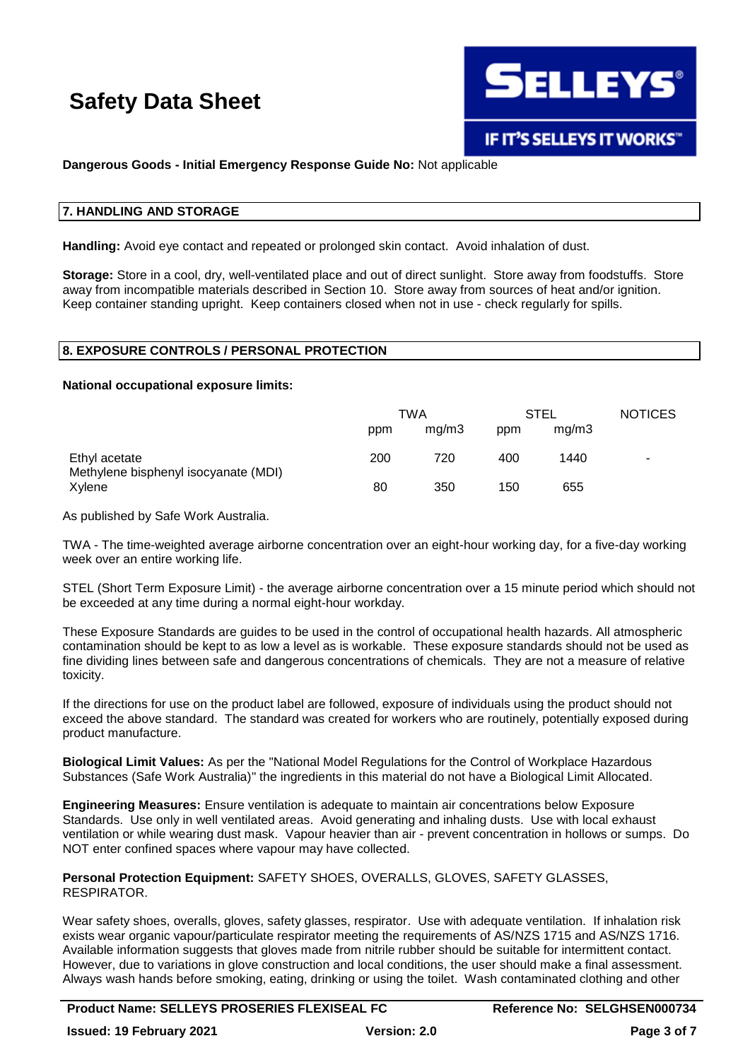

## **Dangerous Goods - Initial Emergency Response Guide No:** Not applicable

#### **7. HANDLING AND STORAGE**

**Handling:** Avoid eye contact and repeated or prolonged skin contact. Avoid inhalation of dust.

**Storage:** Store in a cool, dry, well-ventilated place and out of direct sunlight. Store away from foodstuffs. Store away from incompatible materials described in Section 10. Store away from sources of heat and/or ignition. Keep container standing upright. Keep containers closed when not in use - check regularly for spills.

## **8. EXPOSURE CONTROLS / PERSONAL PROTECTION**

#### **National occupational exposure limits:**

|                                                       | TWA |       | STEL |       | <b>NOTICES</b> |
|-------------------------------------------------------|-----|-------|------|-------|----------------|
|                                                       | ppm | mq/m3 | ppm  | mq/m3 |                |
| Ethyl acetate<br>Methylene bisphenyl isocyanate (MDI) | 200 | 720   | 400  | 1440  | ۰              |
| Xvlene                                                | 80  | 350   | 150  | 655   |                |

As published by Safe Work Australia.

TWA - The time-weighted average airborne concentration over an eight-hour working day, for a five-day working week over an entire working life.

STEL (Short Term Exposure Limit) - the average airborne concentration over a 15 minute period which should not be exceeded at any time during a normal eight-hour workday.

These Exposure Standards are guides to be used in the control of occupational health hazards. All atmospheric contamination should be kept to as low a level as is workable. These exposure standards should not be used as fine dividing lines between safe and dangerous concentrations of chemicals. They are not a measure of relative toxicity.

If the directions for use on the product label are followed, exposure of individuals using the product should not exceed the above standard. The standard was created for workers who are routinely, potentially exposed during product manufacture.

**Biological Limit Values:** As per the "National Model Regulations for the Control of Workplace Hazardous Substances (Safe Work Australia)" the ingredients in this material do not have a Biological Limit Allocated.

**Engineering Measures:** Ensure ventilation is adequate to maintain air concentrations below Exposure Standards. Use only in well ventilated areas. Avoid generating and inhaling dusts. Use with local exhaust ventilation or while wearing dust mask. Vapour heavier than air - prevent concentration in hollows or sumps. Do NOT enter confined spaces where vapour may have collected.

**Personal Protection Equipment:** SAFETY SHOES, OVERALLS, GLOVES, SAFETY GLASSES, RESPIRATOR.

Wear safety shoes, overalls, gloves, safety glasses, respirator. Use with adequate ventilation. If inhalation risk exists wear organic vapour/particulate respirator meeting the requirements of AS/NZS 1715 and AS/NZS 1716. Available information suggests that gloves made from nitrile rubber should be suitable for intermittent contact. However, due to variations in glove construction and local conditions, the user should make a final assessment. Always wash hands before smoking, eating, drinking or using the toilet. Wash contaminated clothing and other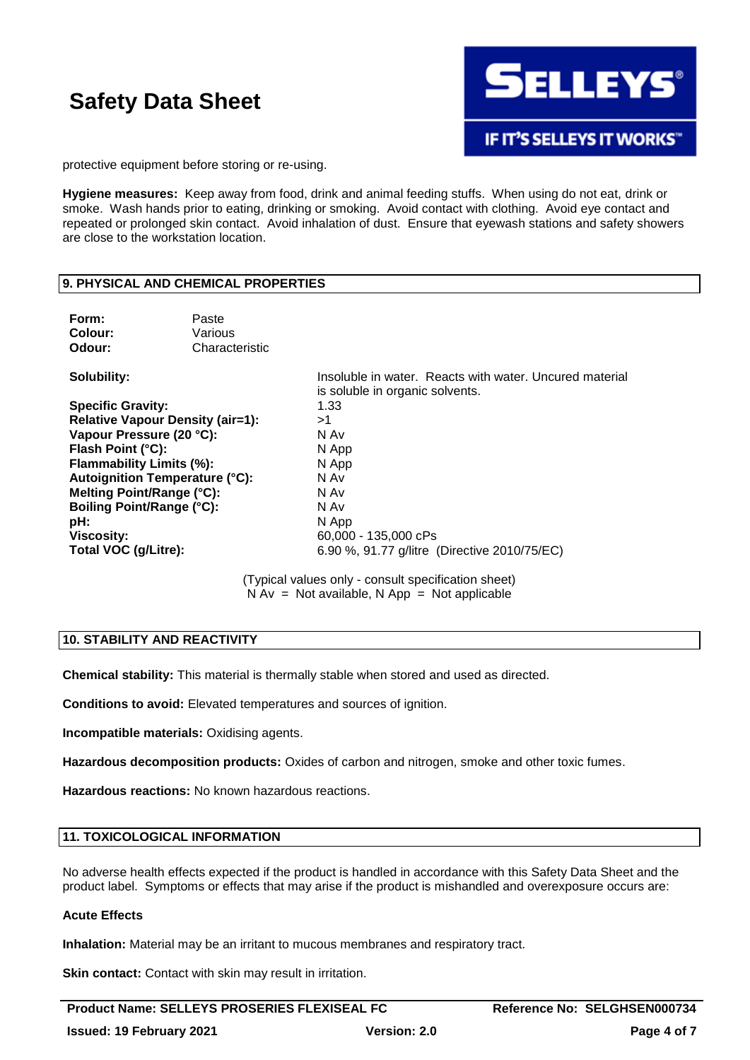

protective equipment before storing or re-using.

**Hygiene measures:** Keep away from food, drink and animal feeding stuffs. When using do not eat, drink or smoke. Wash hands prior to eating, drinking or smoking. Avoid contact with clothing. Avoid eye contact and repeated or prolonged skin contact. Avoid inhalation of dust. Ensure that eyewash stations and safety showers are close to the workstation location.

### **9. PHYSICAL AND CHEMICAL PROPERTIES**

| Form:<br>Colour:<br>Odour:              | Paste<br>Various<br>Characteristic |                                                                                            |
|-----------------------------------------|------------------------------------|--------------------------------------------------------------------------------------------|
| Solubility:                             |                                    | Insoluble in water. Reacts with water, Uncured material<br>is soluble in organic solvents. |
| <b>Specific Gravity:</b>                |                                    | 1.33                                                                                       |
| <b>Relative Vapour Density (air=1):</b> |                                    | >1                                                                                         |
| Vapour Pressure (20 °C):                |                                    | N Av                                                                                       |
| Flash Point (°C):                       |                                    | N App                                                                                      |
| Flammability Limits (%):                |                                    | N App                                                                                      |
| Autoignition Temperature (°C):          |                                    | N Av                                                                                       |
| Melting Point/Range (°C):               |                                    | N Av                                                                                       |
| <b>Boiling Point/Range (°C):</b>        |                                    | N Av                                                                                       |
| pH:                                     |                                    | N App                                                                                      |
| <b>Viscosity:</b>                       |                                    | 60,000 - 135,000 cPs                                                                       |
| Total VOC (g/Litre):                    |                                    | 6.90 %, 91.77 g/litre (Directive 2010/75/EC)                                               |

(Typical values only - consult specification sheet)  $N Av = Not available, N App = Not applicable$ 

## **10. STABILITY AND REACTIVITY**

**Chemical stability:** This material is thermally stable when stored and used as directed.

**Conditions to avoid:** Elevated temperatures and sources of ignition.

**Incompatible materials:** Oxidising agents.

**Hazardous decomposition products:** Oxides of carbon and nitrogen, smoke and other toxic fumes.

**Hazardous reactions:** No known hazardous reactions.

#### **11. TOXICOLOGICAL INFORMATION**

No adverse health effects expected if the product is handled in accordance with this Safety Data Sheet and the product label. Symptoms or effects that may arise if the product is mishandled and overexposure occurs are:

#### **Acute Effects**

**Inhalation:** Material may be an irritant to mucous membranes and respiratory tract.

**Skin contact:** Contact with skin may result in irritation.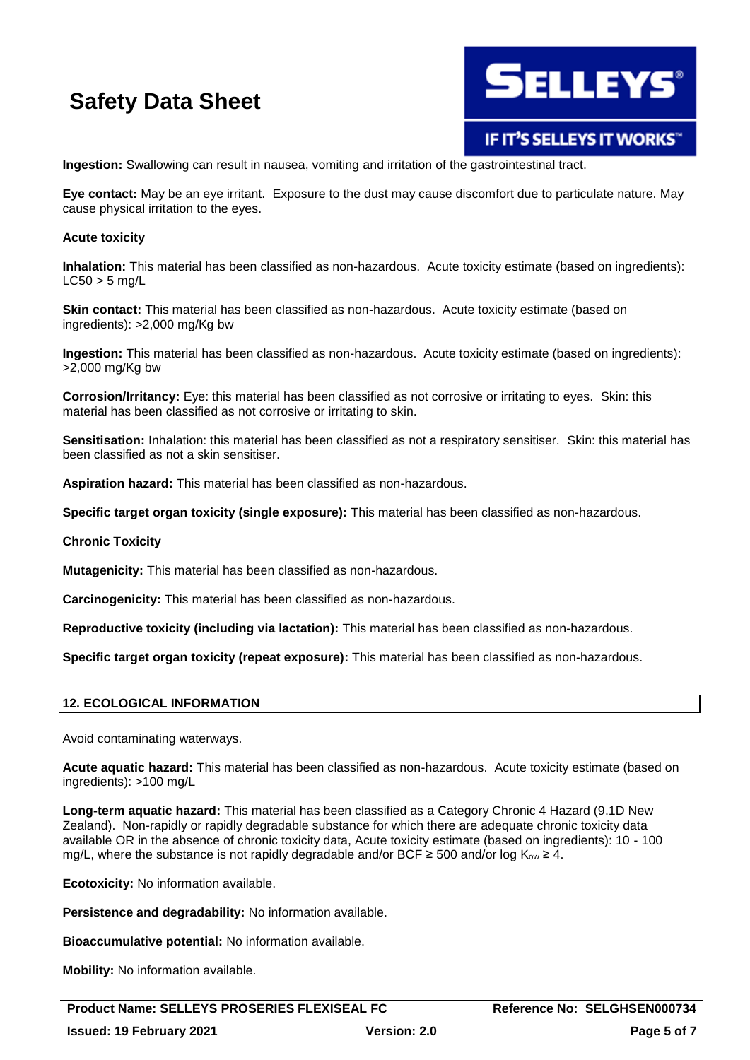

IF IT'S SELLEYS IT WORKS"

**Ingestion:** Swallowing can result in nausea, vomiting and irritation of the gastrointestinal tract.

**Eye contact:** May be an eye irritant. Exposure to the dust may cause discomfort due to particulate nature. May cause physical irritation to the eyes.

#### **Acute toxicity**

**Inhalation:** This material has been classified as non-hazardous. Acute toxicity estimate (based on ingredients):  $LC50 > 5$  mg/L

**Skin contact:** This material has been classified as non-hazardous. Acute toxicity estimate (based on ingredients): >2,000 mg/Kg bw

**Ingestion:** This material has been classified as non-hazardous. Acute toxicity estimate (based on ingredients): >2,000 mg/Kg bw

**Corrosion/Irritancy:** Eye: this material has been classified as not corrosive or irritating to eyes. Skin: this material has been classified as not corrosive or irritating to skin.

**Sensitisation:** Inhalation: this material has been classified as not a respiratory sensitiser. Skin: this material has been classified as not a skin sensitiser.

**Aspiration hazard:** This material has been classified as non-hazardous.

**Specific target organ toxicity (single exposure):** This material has been classified as non-hazardous.

#### **Chronic Toxicity**

**Mutagenicity:** This material has been classified as non-hazardous.

**Carcinogenicity:** This material has been classified as non-hazardous.

**Reproductive toxicity (including via lactation):** This material has been classified as non-hazardous.

**Specific target organ toxicity (repeat exposure):** This material has been classified as non-hazardous.

#### **12. ECOLOGICAL INFORMATION**

Avoid contaminating waterways.

**Acute aquatic hazard:** This material has been classified as non-hazardous. Acute toxicity estimate (based on ingredients): >100 mg/L

**Long-term aquatic hazard:** This material has been classified as a Category Chronic 4 Hazard (9.1D New Zealand). Non-rapidly or rapidly degradable substance for which there are adequate chronic toxicity data available OR in the absence of chronic toxicity data, Acute toxicity estimate (based on ingredients): 10 - 100 mg/L, where the substance is not rapidly degradable and/or BCF  $\geq$  500 and/or log K<sub>ow</sub>  $\geq$  4.

**Ecotoxicity:** No information available.

**Persistence and degradability:** No information available.

**Bioaccumulative potential:** No information available.

**Mobility:** No information available.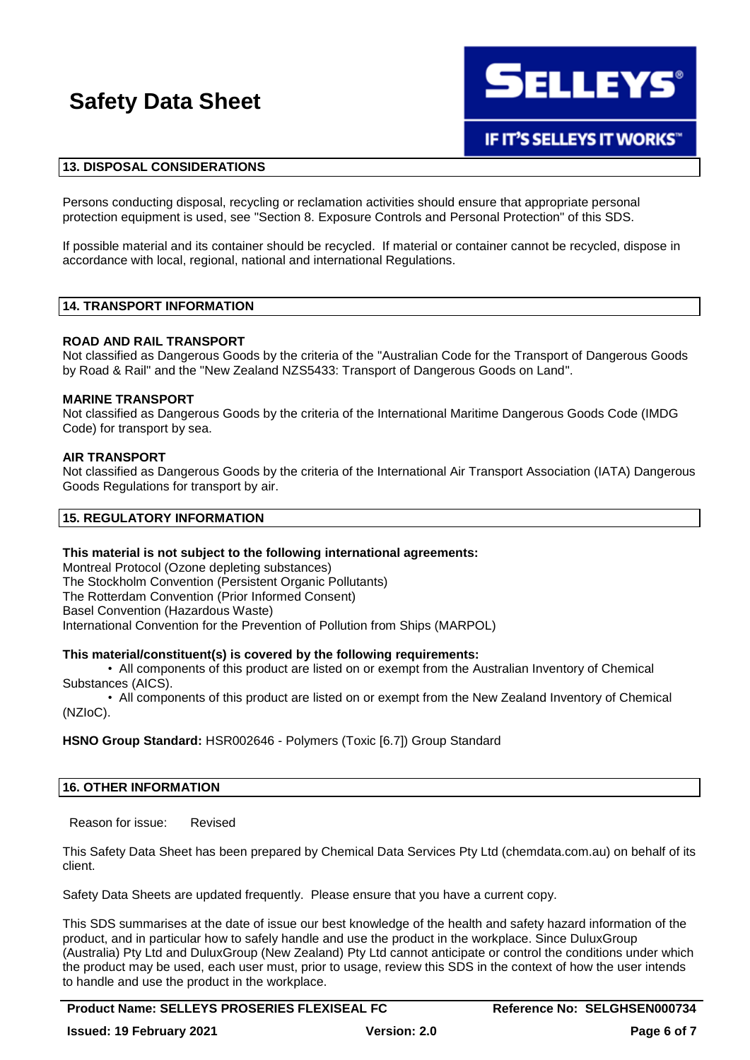

### **13. DISPOSAL CONSIDERATIONS**

Persons conducting disposal, recycling or reclamation activities should ensure that appropriate personal protection equipment is used, see "Section 8. Exposure Controls and Personal Protection" of this SDS.

If possible material and its container should be recycled. If material or container cannot be recycled, dispose in accordance with local, regional, national and international Regulations.

#### **14. TRANSPORT INFORMATION**

#### **ROAD AND RAIL TRANSPORT**

Not classified as Dangerous Goods by the criteria of the "Australian Code for the Transport of Dangerous Goods by Road & Rail" and the "New Zealand NZS5433: Transport of Dangerous Goods on Land".

#### **MARINE TRANSPORT**

Not classified as Dangerous Goods by the criteria of the International Maritime Dangerous Goods Code (IMDG Code) for transport by sea.

#### **AIR TRANSPORT**

Not classified as Dangerous Goods by the criteria of the International Air Transport Association (IATA) Dangerous Goods Regulations for transport by air.

#### **15. REGULATORY INFORMATION**

#### **This material is not subject to the following international agreements:**

Montreal Protocol (Ozone depleting substances) The Stockholm Convention (Persistent Organic Pollutants) The Rotterdam Convention (Prior Informed Consent) Basel Convention (Hazardous Waste) International Convention for the Prevention of Pollution from Ships (MARPOL)

#### **This material/constituent(s) is covered by the following requirements:**

• All components of this product are listed on or exempt from the Australian Inventory of Chemical Substances (AICS).

• All components of this product are listed on or exempt from the New Zealand Inventory of Chemical (NZIoC).

#### **HSNO Group Standard:** HSR002646 - Polymers (Toxic [6.7]) Group Standard

#### **16. OTHER INFORMATION**

Reason for issue: Revised

This Safety Data Sheet has been prepared by Chemical Data Services Pty Ltd (chemdata.com.au) on behalf of its client.

Safety Data Sheets are updated frequently. Please ensure that you have a current copy.

This SDS summarises at the date of issue our best knowledge of the health and safety hazard information of the product, and in particular how to safely handle and use the product in the workplace. Since DuluxGroup (Australia) Pty Ltd and DuluxGroup (New Zealand) Pty Ltd cannot anticipate or control the conditions under which the product may be used, each user must, prior to usage, review this SDS in the context of how the user intends to handle and use the product in the workplace.